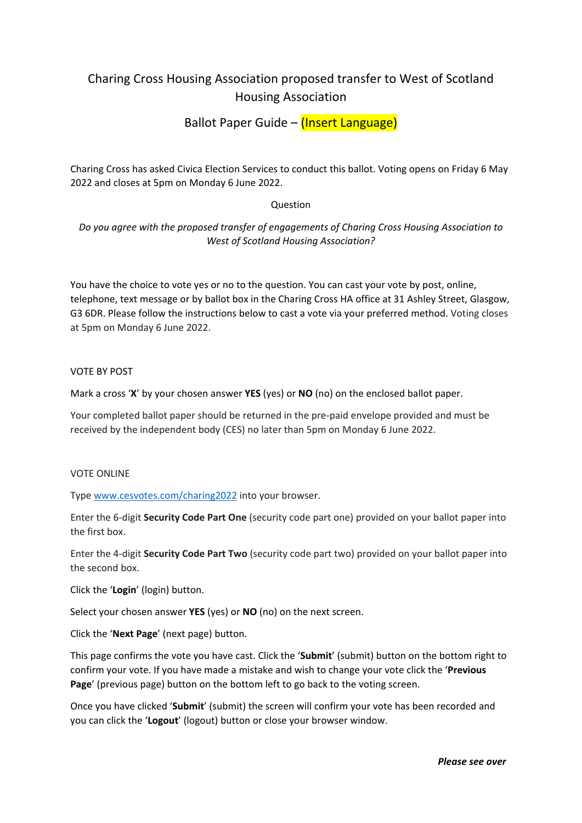# Charing Cross Housing Association proposed transfer to West of Scotland Housing Association

Ballot Paper Guide – (Insert Language)

Charing Cross has asked Civica Election Services to conduct this ballot. Voting opens on Friday 6 May 2022 and closes at 5pm on Monday 6 June 2022.

# **Question**

*Do you agree with the proposed transfer of engagements of Charing Cross Housing Association to West of Scotland Housing Association?*

You have the choice to vote yes or no to the question. You can cast your vote by post, online, telephone, text message or by ballot box in the Charing Cross HA office at 31 Ashley Street, Glasgow, G3 6DR. Please follow the instructions below to cast a vote via your preferred method. Voting closes at 5pm on Monday 6 June 2022.

VOTE BY POST

Mark a cross '**X**' by your chosen answer **YES** (yes) or **NO** (no) on the enclosed ballot paper.

Your completed ballot paper should be returned in the pre‐paid envelope provided and must be received by the independent body (CES) no later than 5pm on Monday 6 June 2022.

### VOTE ONLINE

Type www.cesvotes.com/charing2022 into your browser.

Enter the 6‐digit **Security Code Part One** (security code part one) provided on your ballot paper into the first box.

Enter the 4‐digit **Security Code Part Two** (security code part two) provided on your ballot paper into the second box.

Click the '**Login**' (login) button.

Select your chosen answer **YES** (yes) or **NO** (no) on the next screen.

Click the '**Next Page**' (next page) button.

This page confirms the vote you have cast. Click the '**Submit**' (submit) button on the bottom right to confirm your vote. If you have made a mistake and wish to change your vote click the '**Previous Page**' (previous page) button on the bottom left to go back to the voting screen.

Once you have clicked '**Submit**' (submit) the screen will confirm your vote has been recorded and you can click the '**Logout**' (logout) button or close your browser window.